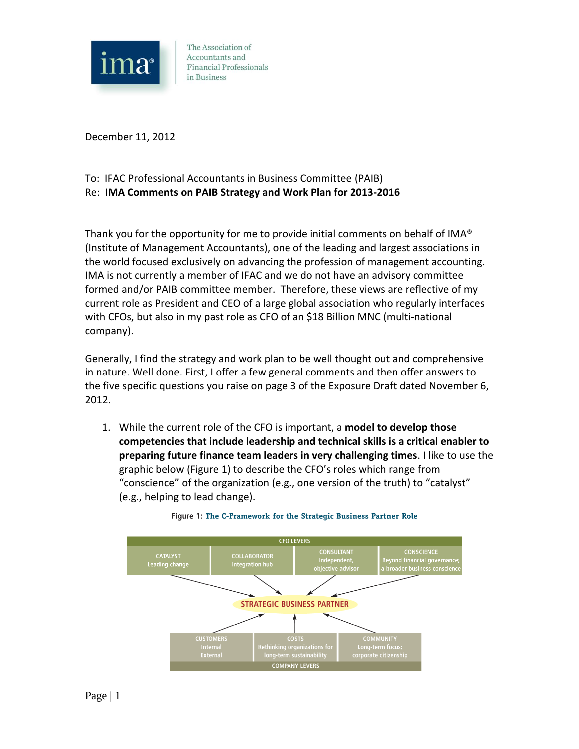

December 11, 2012

## To: IFAC Professional Accountants in Business Committee (PAIB) Re: **IMA Comments on PAIB Strategy and Work Plan for 2013-2016**

Thank you for the opportunity for me to provide initial comments on behalf of IMA® (Institute of Management Accountants), one of the leading and largest associations in the world focused exclusively on advancing the profession of management accounting. IMA is not currently a member of IFAC and we do not have an advisory committee formed and/or PAIB committee member. Therefore, these views are reflective of my current role as President and CEO of a large global association who regularly interfaces with CFOs, but also in my past role as CFO of an \$18 Billion MNC (multi-national company).

Generally, I find the strategy and work plan to be well thought out and comprehensive in nature. Well done. First, I offer a few general comments and then offer answers to the five specific questions you raise on page 3 of the Exposure Draft dated November 6, 2012.

1. While the current role of the CFO is important, a **model to develop those competencies that include leadership and technical skills is a critical enabler to preparing future finance team leaders in very challenging times**. I like to use the graphic below (Figure 1) to describe the CFO's roles which range from "conscience" of the organization (e.g., one version of the truth) to "catalyst" (e.g., helping to lead change).



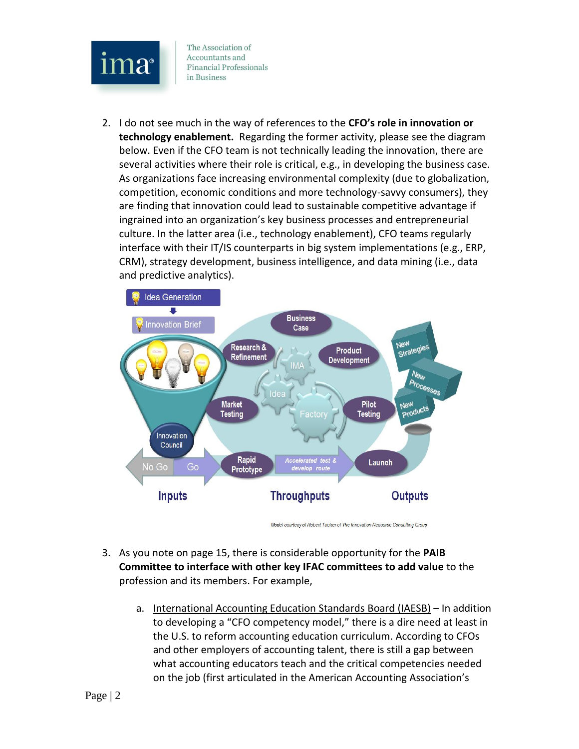

2. I do not see much in the way of references to the **CFO's role in innovation or technology enablement.** Regarding the former activity, please see the diagram below. Even if the CFO team is not technically leading the innovation, there are several activities where their role is critical, e.g., in developing the business case. As organizations face increasing environmental complexity (due to globalization, competition, economic conditions and more technology-savvy consumers), they are finding that innovation could lead to sustainable competitive advantage if ingrained into an organization's key business processes and entrepreneurial culture. In the latter area (i.e., technology enablement), CFO teams regularly interface with their IT/IS counterparts in big system implementations (e.g., ERP, CRM), strategy development, business intelligence, and data mining (i.e., data and predictive analytics).



Model courtesy of Robert Tucker of The Innovation Resource Consulting Group

- 3. As you note on page 15, there is considerable opportunity for the **PAIB Committee to interface with other key IFAC committees to add value** to the profession and its members. For example,
	- a. International Accounting Education Standards Board (IAESB) In addition to developing a "CFO competency model," there is a dire need at least in the U.S. to reform accounting education curriculum. According to CFOs and other employers of accounting talent, there is still a gap between what accounting educators teach and the critical competencies needed on the job (first articulated in the American Accounting Association's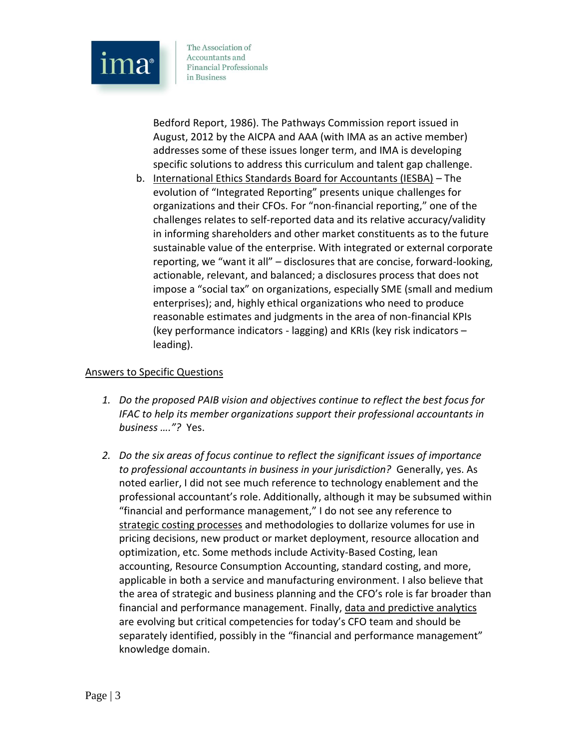

Bedford Report, 1986). The Pathways Commission report issued in August, 2012 by the AICPA and AAA (with IMA as an active member) addresses some of these issues longer term, and IMA is developing specific solutions to address this curriculum and talent gap challenge.

b. International Ethics Standards Board for Accountants (IESBA) – The evolution of "Integrated Reporting" presents unique challenges for organizations and their CFOs. For "non-financial reporting," one of the challenges relates to self-reported data and its relative accuracy/validity in informing shareholders and other market constituents as to the future sustainable value of the enterprise. With integrated or external corporate reporting, we "want it all" – disclosures that are concise, forward-looking, actionable, relevant, and balanced; a disclosures process that does not impose a "social tax" on organizations, especially SME (small and medium enterprises); and, highly ethical organizations who need to produce reasonable estimates and judgments in the area of non-financial KPIs (key performance indicators - lagging) and KRIs (key risk indicators – leading).

## Answers to Specific Questions

- *1. Do the proposed PAIB vision and objectives continue to reflect the best focus for IFAC to help its member organizations support their professional accountants in business …."?* Yes.
- *2. Do the six areas of focus continue to reflect the significant issues of importance to professional accountants in business in your jurisdiction?* Generally, yes. As noted earlier, I did not see much reference to technology enablement and the professional accountant's role. Additionally, although it may be subsumed within "financial and performance management," I do not see any reference to strategic costing processes and methodologies to dollarize volumes for use in pricing decisions, new product or market deployment, resource allocation and optimization, etc. Some methods include Activity-Based Costing, lean accounting, Resource Consumption Accounting, standard costing, and more, applicable in both a service and manufacturing environment. I also believe that the area of strategic and business planning and the CFO's role is far broader than financial and performance management. Finally, data and predictive analytics are evolving but critical competencies for today's CFO team and should be separately identified, possibly in the "financial and performance management" knowledge domain.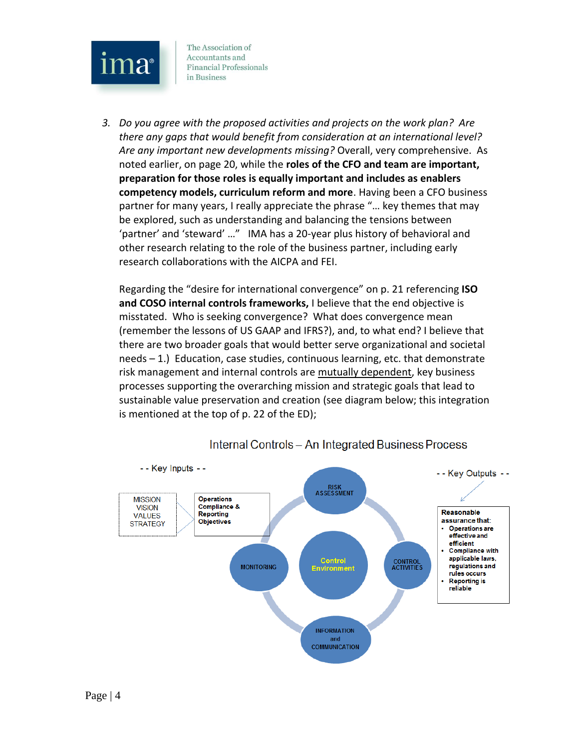

*3. Do you agree with the proposed activities and projects on the work plan? Are there any gaps that would benefit from consideration at an international level? Are any important new developments missing?* Overall, very comprehensive. As noted earlier, on page 20, while the **roles of the CFO and team are important, preparation for those roles is equally important and includes as enablers competency models, curriculum reform and more**. Having been a CFO business partner for many years, I really appreciate the phrase "… key themes that may be explored, such as understanding and balancing the tensions between 'partner' and 'steward' …" IMA has a 20-year plus history of behavioral and other research relating to the role of the business partner, including early research collaborations with the AICPA and FEI.

Regarding the "desire for international convergence" on p. 21 referencing **ISO and COSO internal controls frameworks,** I believe that the end objective is misstated. Who is seeking convergence? What does convergence mean (remember the lessons of US GAAP and IFRS?), and, to what end? I believe that there are two broader goals that would better serve organizational and societal needs – 1.) Education, case studies, continuous learning, etc. that demonstrate risk management and internal controls are mutually dependent, key business processes supporting the overarching mission and strategic goals that lead to sustainable value preservation and creation (see diagram below; this integration is mentioned at the top of p. 22 of the ED);



Internal Controls - An Integrated Business Process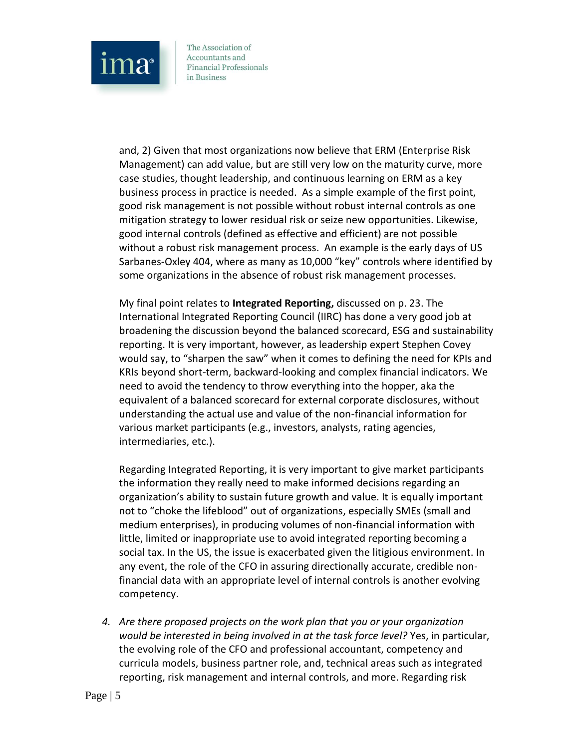

and, 2) Given that most organizations now believe that ERM (Enterprise Risk Management) can add value, but are still very low on the maturity curve, more case studies, thought leadership, and continuous learning on ERM as a key business process in practice is needed. As a simple example of the first point, good risk management is not possible without robust internal controls as one mitigation strategy to lower residual risk or seize new opportunities. Likewise, good internal controls (defined as effective and efficient) are not possible without a robust risk management process. An example is the early days of US Sarbanes-Oxley 404, where as many as 10,000 "key" controls where identified by some organizations in the absence of robust risk management processes.

My final point relates to **Integrated Reporting,** discussed on p. 23. The International Integrated Reporting Council (IIRC) has done a very good job at broadening the discussion beyond the balanced scorecard, ESG and sustainability reporting. It is very important, however, as leadership expert Stephen Covey would say, to "sharpen the saw" when it comes to defining the need for KPIs and KRIs beyond short-term, backward-looking and complex financial indicators. We need to avoid the tendency to throw everything into the hopper, aka the equivalent of a balanced scorecard for external corporate disclosures, without understanding the actual use and value of the non-financial information for various market participants (e.g., investors, analysts, rating agencies, intermediaries, etc.).

Regarding Integrated Reporting, it is very important to give market participants the information they really need to make informed decisions regarding an organization's ability to sustain future growth and value. It is equally important not to "choke the lifeblood" out of organizations, especially SMEs (small and medium enterprises), in producing volumes of non-financial information with little, limited or inappropriate use to avoid integrated reporting becoming a social tax. In the US, the issue is exacerbated given the litigious environment. In any event, the role of the CFO in assuring directionally accurate, credible nonfinancial data with an appropriate level of internal controls is another evolving competency.

*4. Are there proposed projects on the work plan that you or your organization would be interested in being involved in at the task force level?* Yes, in particular, the evolving role of the CFO and professional accountant, competency and curricula models, business partner role, and, technical areas such as integrated reporting, risk management and internal controls, and more. Regarding risk